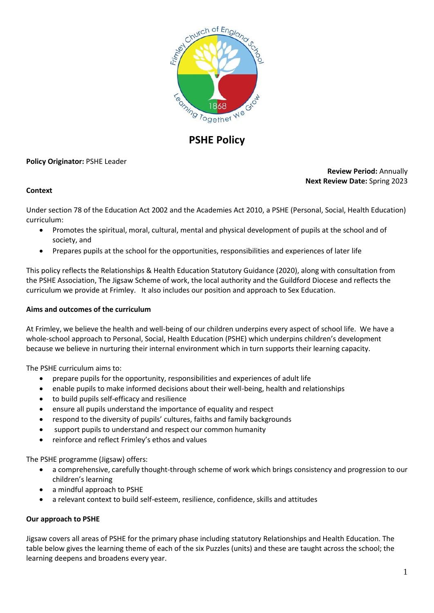

# **PSHE Policy**

#### **Policy Originator:** PSHE Leader

## **Review Period:** Annually **Next Review Date:** Spring 2023

#### **Context**

Under section 78 of the Education Act 2002 and the Academies Act 2010, a PSHE (Personal, Social, Health Education) curriculum:

- Promotes the spiritual, moral, cultural, mental and physical development of pupils at the school and of society, and
- Prepares pupils at the school for the opportunities, responsibilities and experiences of later life

This policy reflects the Relationships & Health Education Statutory Guidance (2020), along with consultation from the PSHE Association, The Jigsaw Scheme of work, the local authority and the Guildford Diocese and reflects the curriculum we provide at Frimley. It also includes our position and approach to Sex Education.

#### **Aims and outcomes of the curriculum**

At Frimley, we believe the health and well-being of our children underpins every aspect of school life. We have a whole-school approach to Personal, Social, Health Education (PSHE) which underpins children's development because we believe in nurturing their internal environment which in turn supports their learning capacity.

The PSHE curriculum aims to:

- prepare pupils for the opportunity, responsibilities and experiences of adult life
- enable pupils to make informed decisions about their well-being, health and relationships
- to build pupils self-efficacy and resilience
- ensure all pupils understand the importance of equality and respect
- respond to the diversity of pupils' cultures, faiths and family backgrounds
- support pupils to understand and respect our common humanity
- reinforce and reflect Frimley's ethos and values

The PSHE programme (Jigsaw) offers:

- a comprehensive, carefully thought-through scheme of work which brings consistency and progression to our children's learning
- a mindful approach to PSHE
- a relevant context to build self-esteem, resilience, confidence, skills and attitudes

#### **Our approach to PSHE**

Jigsaw covers all areas of PSHE for the primary phase including statutory Relationships and Health Education. The table below gives the learning theme of each of the six Puzzles (units) and these are taught across the school; the learning deepens and broadens every year.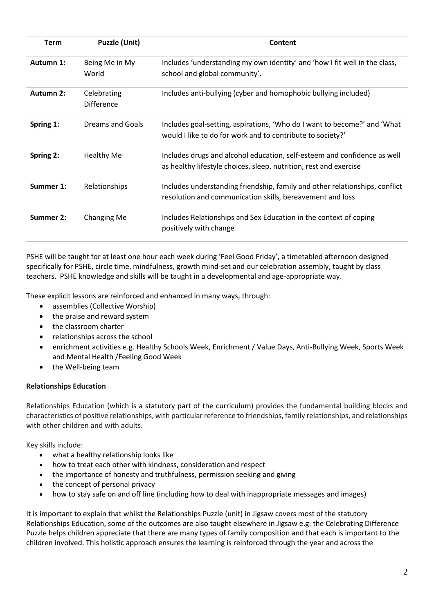| Term      | <b>Puzzle (Unit)</b>             | Content                                                                                                                                       |
|-----------|----------------------------------|-----------------------------------------------------------------------------------------------------------------------------------------------|
| Autumn 1: | Being Me in My<br>World          | Includes 'understanding my own identity' and 'how I fit well in the class,<br>school and global community'.                                   |
| Autumn 2: | Celebrating<br><b>Difference</b> | Includes anti-bullying (cyber and homophobic bullying included)                                                                               |
| Spring 1: | Dreams and Goals                 | Includes goal-setting, aspirations, 'Who do I want to become?' and 'What<br>would I like to do for work and to contribute to society?'        |
| Spring 2: | <b>Healthy Me</b>                | Includes drugs and alcohol education, self-esteem and confidence as well<br>as healthy lifestyle choices, sleep, nutrition, rest and exercise |
| Summer 1: | Relationships                    | Includes understanding friendship, family and other relationships, conflict<br>resolution and communication skills, bereavement and loss      |
| Summer 2: | <b>Changing Me</b>               | Includes Relationships and Sex Education in the context of coping<br>positively with change                                                   |

PSHE will be taught for at least one hour each week during 'Feel Good Friday', a timetabled afternoon designed specifically for PSHE, circle time, mindfulness, growth mind-set and our celebration assembly, taught by class teachers. PSHE knowledge and skills will be taught in a developmental and age-appropriate way.

These explicit lessons are reinforced and enhanced in many ways, through:

- assemblies (Collective Worship)
- the praise and reward system
- the classroom charter
- relationships across the school
- enrichment activities e.g. Healthy Schools Week, Enrichment / Value Days, Anti-Bullying Week, Sports Week and Mental Health /Feeling Good Week
- the Well-being team

## **Relationships Education**

Relationships Education (which is a statutory part of the curriculum) provides the fundamental building blocks and characteristics of positive relationships, with particular reference to friendships, family relationships, and relationships with other children and with adults.

Key skills include:

- what a healthy relationship looks like
- how to treat each other with kindness, consideration and respect
- the importance of honesty and truthfulness, permission seeking and giving
- the concept of personal privacy
- how to stay safe on and off line (including how to deal with inappropriate messages and images)

It is important to explain that whilst the Relationships Puzzle (unit) in Jigsaw covers most of the statutory Relationships Education, some of the outcomes are also taught elsewhere in Jigsaw e.g. the Celebrating Difference Puzzle helps children appreciate that there are many types of family composition and that each is important to the children involved. This holistic approach ensures the learning is reinforced through the year and across the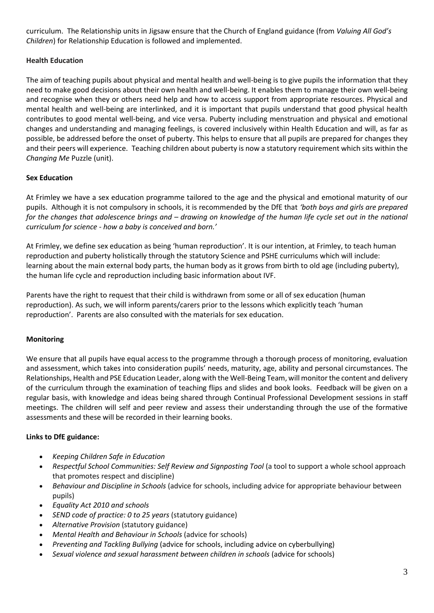curriculum. The Relationship units in Jigsaw ensure that the Church of England guidance (from *Valuing All God's Children*) for Relationship Education is followed and implemented.

## **Health Education**

The aim of teaching pupils about physical and mental health and well-being is to give pupils the information that they need to make good decisions about their own health and well-being. It enables them to manage their own well-being and recognise when they or others need help and how to access support from appropriate resources. Physical and mental health and well-being are interlinked, and it is important that pupils understand that good physical health contributes to good mental well-being, and vice versa. Puberty including menstruation and physical and emotional changes and understanding and managing feelings, is covered inclusively within Health Education and will, as far as possible, be addressed before the onset of puberty. This helps to ensure that all pupils are prepared for changes they and their peers will experience. Teaching children about puberty is now a statutory requirement which sits within the *Changing Me* Puzzle (unit).

# **Sex Education**

At Frimley we have a sex education programme tailored to the age and the physical and emotional maturity of our pupils. Although it is not compulsory in schools, it is recommended by the DfE that *'both boys and girls are prepared for the changes that adolescence brings and – drawing on knowledge of the human life cycle set out in the national curriculum for science - how a baby is conceived and born.'*

At Frimley, we define sex education as being 'human reproduction'. It is our intention, at Frimley, to teach human reproduction and puberty holistically through the statutory Science and PSHE curriculums which will include: learning about the main external body parts, the human body as it grows from birth to old age (including puberty), the human life cycle and reproduction including basic information about IVF.

Parents have the right to request that their child is withdrawn from some or all of sex education (human reproduction). As such, we will inform parents/carers prior to the lessons which explicitly teach 'human reproduction'. Parents are also consulted with the materials for sex education.

## **Monitoring**

We ensure that all pupils have equal access to the programme through a thorough process of monitoring, evaluation and assessment, which takes into consideration pupils' needs, maturity, age, ability and personal circumstances. The Relationships, Health and PSE Education Leader, along with the Well-Being Team, will monitor the content and delivery of the curriculum through the examination of teaching flips and slides and book looks. Feedback will be given on a regular basis, with knowledge and ideas being shared through Continual Professional Development sessions in staff meetings. The children will self and peer review and assess their understanding through the use of the formative assessments and these will be recorded in their learning books.

## **Links to DfE guidance:**

- *Keeping Children Safe in Education*
- *Respectful School Communities: Self Review and Signposting Tool* (a tool to support a whole school approach that promotes respect and discipline)
- *Behaviour and Discipline in Schools* (advice for schools, including advice for appropriate behaviour between pupils)
- *Equality Act 2010 and schools*
- *SEND code of practice: 0 to 25 years* (statutory guidance)
- *Alternative Provision* (statutory guidance)
- *Mental Health and Behaviour in Schools* (advice for schools)
- *Preventing and Tackling Bullying* (advice for schools, including advice on cyberbullying)
- *Sexual violence and sexual harassment between children in schools* (advice for schools)